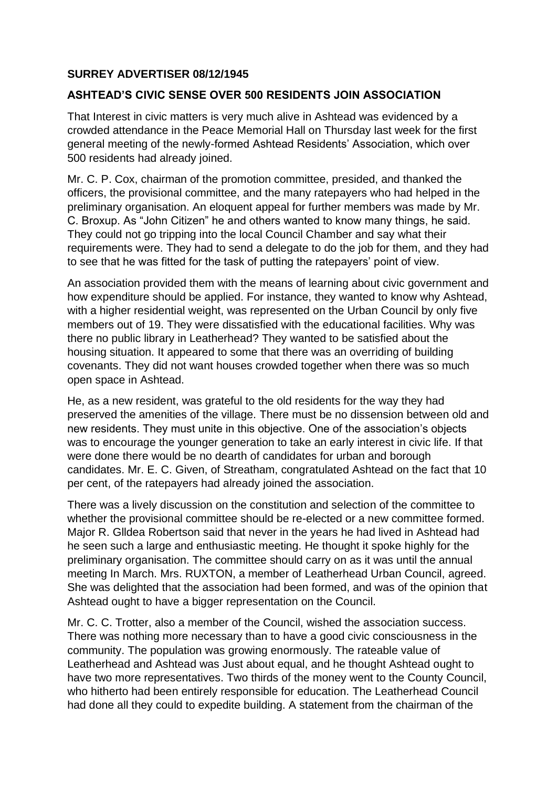## **SURREY ADVERTISER 08/12/1945**

## **ASHTEAD'S CIVIC SENSE OVER 500 RESIDENTS JOIN ASSOCIATION**

That Interest in civic matters is very much alive in Ashtead was evidenced by a crowded attendance in the Peace Memorial Hall on Thursday last week for the first general meeting of the newly-formed Ashtead Residents' Association, which over 500 residents had already joined.

Mr. C. P. Cox, chairman of the promotion committee, presided, and thanked the officers, the provisional committee, and the many ratepayers who had helped in the preliminary organisation. An eloquent appeal for further members was made by Mr. C. Broxup. As "John Citizen" he and others wanted to know many things, he said. They could not go tripping into the local Council Chamber and say what their requirements were. They had to send a delegate to do the job for them, and they had to see that he was fitted for the task of putting the ratepayers' point of view.

An association provided them with the means of learning about civic government and how expenditure should be applied. For instance, they wanted to know why Ashtead, with a higher residential weight, was represented on the Urban Council by only five members out of 19. They were dissatisfied with the educational facilities. Why was there no public library in Leatherhead? They wanted to be satisfied about the housing situation. It appeared to some that there was an overriding of building covenants. They did not want houses crowded together when there was so much open space in Ashtead.

He, as a new resident, was grateful to the old residents for the way they had preserved the amenities of the village. There must be no dissension between old and new residents. They must unite in this objective. One of the association's objects was to encourage the younger generation to take an early interest in civic life. If that were done there would be no dearth of candidates for urban and borough candidates. Mr. E. C. Given, of Streatham, congratulated Ashtead on the fact that 10 per cent, of the ratepayers had already joined the association.

There was a lively discussion on the constitution and selection of the committee to whether the provisional committee should be re-elected or a new committee formed. Major R. Glldea Robertson said that never in the years he had lived in Ashtead had he seen such a large and enthusiastic meeting. He thought it spoke highly for the preliminary organisation. The committee should carry on as it was until the annual meeting In March. Mrs. RUXTON, a member of Leatherhead Urban Council, agreed. She was delighted that the association had been formed, and was of the opinion that Ashtead ought to have a bigger representation on the Council.

Mr. C. C. Trotter, also a member of the Council, wished the association success. There was nothing more necessary than to have a good civic consciousness in the community. The population was growing enormously. The rateable value of Leatherhead and Ashtead was Just about equal, and he thought Ashtead ought to have two more representatives. Two thirds of the money went to the County Council, who hitherto had been entirely responsible for education. The Leatherhead Council had done all they could to expedite building. A statement from the chairman of the